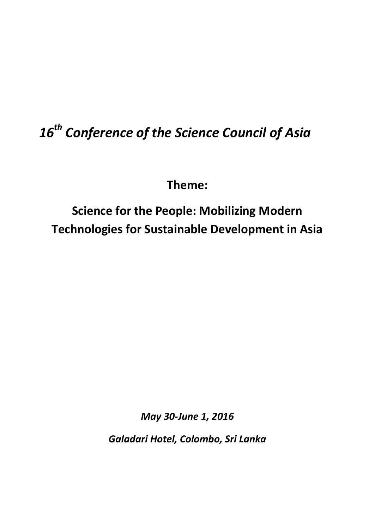# *16th Conference of the Science Council of Asia*

**Theme:**

**Science for the People: Mobilizing Modern Technologies for Sustainable Development in Asia**

*May 30-June 1, 2016*

*Galadari Hotel, Colombo, Sri Lanka*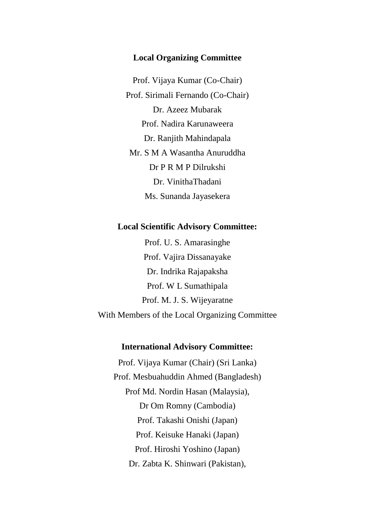#### **Local Organizing Committee**

Prof. Vijaya Kumar (Co-Chair) Prof. Sirimali Fernando (Co-Chair) Dr. Azeez Mubarak Prof. Nadira Karunaweera Dr. Ranjith Mahindapala Mr. S M A Wasantha Anuruddha Dr P R M P Dilrukshi Dr. VinithaThadani Ms. Sunanda Jayasekera

#### **Local Scientific Advisory Committee:**

Prof. U. S. Amarasinghe Prof. Vajira Dissanayake Dr. Indrika Rajapaksha Prof. W L Sumathipala Prof. M. J. S. Wijeyaratne With Members of the Local Organizing Committee

## **International Advisory Committee:**

Prof. Vijaya Kumar (Chair) (Sri Lanka) Prof. Mesbuahuddin Ahmed (Bangladesh) Prof Md. Nordin Hasan (Malaysia), Dr Om Romny (Cambodia) Prof. Takashi Onishi (Japan) Prof. Keisuke Hanaki (Japan) Prof. Hiroshi Yoshino (Japan) Dr. Zabta K. Shinwari (Pakistan),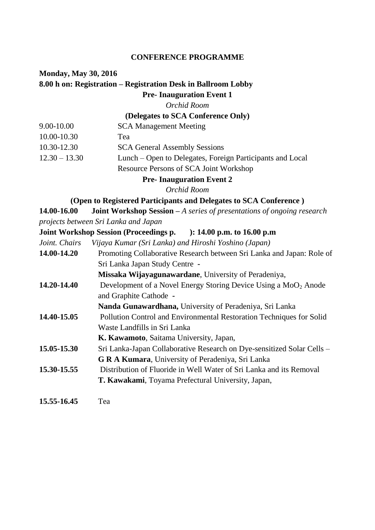#### **CONFERENCE PROGRAMME**

## **Monday, May 30, 2016 8.00 h on: Registration – Registration Desk in Ballroom Lobby Pre- Inauguration Event 1**

*Orchid Room*

## **(Delegates to SCA Conference Only)**

| 9.00-10.00      | <b>SCA Management Meeting</b>                             |
|-----------------|-----------------------------------------------------------|
| 10.00-10.30     | Tea                                                       |
| 10.30-12.30     | <b>SCA General Assembly Sessions</b>                      |
| $12.30 - 13.30$ | Lunch – Open to Delegates, Foreign Participants and Local |
|                 | Resource Persons of SCA Joint Workshop                    |

**Pre- Inauguration Event 2**

*Orchid Room*

#### **(Open to Registered Participants and Delegates to SCA Conference )**

**14.00-16.00 Joint Workshop Session –** *A series of presentations of ongoing research projects between Sri Lanka and Japan*

#### **Joint Workshop Session (Proceedings p. ): 14.00 p.m. to 16.00 p.m**

*Joint. Chairs Vijaya Kumar (Sri Lanka) and Hiroshi Yoshino (Japan)*

**14.00-14.20** Promoting Collaborative Research between Sri Lanka and Japan: Role of Sri Lanka Japan Study Centre **-**

**Missaka Wijayagunawardane**, University of Peradeniya,

- **14.20-14.40** Development of a Novel Energy Storing Device Using a MoO<sub>2</sub> Anode and Graphite Cathode **-**
- **Nanda Gunawardhana,** University of Peradeniya, Sri Lanka **14.40-15.05** Pollution Control and Environmental Restoration Techniques for Solid Waste Landfills in Sri Lanka

**K. Kawamoto**, Saitama University, Japan,

- **15.05-15.30** Sri Lanka-Japan Collaborative Research on Dye-sensitized Solar Cells **G R A Kumara**, University of Peradeniya, Sri Lanka **15.30-15.55** Distribution of Fluoride in Well Water of Sri Lanka and its Removal
	- **T. Kawakami**, Toyama Prefectural University, Japan,
- **15.55-16.45** Tea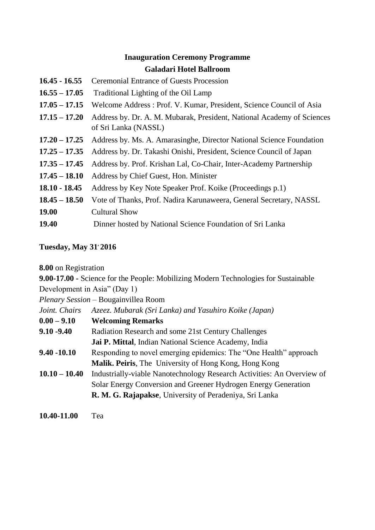# **Inauguration Ceremony Programme Galadari Hotel Ballroom**

- **16.45 - 16.55** Ceremonial Entrance of Guests Procession
- **16.55 – 17.05** Traditional Lighting of the Oil Lamp
- **17.05 – 17.15** Welcome Address : Prof. V. Kumar, President, Science Council of Asia
- **17.15 – 17.20** Address by. Dr. A. M. Mubarak, President, National Academy of Sciences of Sri Lanka (NASSL)
- **17.20 – 17.25** Address by. Ms. A. Amarasinghe, Director National Science Foundation
- **17.25 – 17.35** Address by. Dr. Takashi Onishi, President, Science Council of Japan
- **17.35 – 17.45** Address by. Prof. Krishan Lal, Co-Chair, Inter-Academy Partnership
- **17.45 – 18.10** Address by Chief Guest, Hon. Minister
- **18.10 - 18.45** Address by Key Note Speaker Prof. Koike (Proceedings p.1)
- **18.45 – 18.50** Vote of Thanks, Prof. Nadira Karunaweera, General Secretary, NASSL
- **19.00** Cultural Show
- **19.40** Dinner hosted by National Science Foundation of Sri Lanka

# **Tuesday, May 31, 2016**

**8.00** on Registration

**9.00-17.00 -** Science for the People: Mobilizing Modern Technologies for Sustainable Development in Asia" (Day 1)

*Plenary Session –* Bougainvillea Room

| Joint. Chairs   | Azeez. Mubarak (Sri Lanka) and Yasuhiro Koike (Japan)                  |  |
|-----------------|------------------------------------------------------------------------|--|
| $0.00 - 9.10$   | <b>Welcoming Remarks</b>                                               |  |
| $9.10 - 9.40$   | Radiation Research and some 21st Century Challenges                    |  |
|                 | Jai P. Mittal, Indian National Science Academy, India                  |  |
| 9.40 -10.10     | Responding to novel emerging epidemics: The "One Health" approach      |  |
|                 | Malik. Peiris, The University of Hong Kong, Hong Kong                  |  |
| $10.10 - 10.40$ | Industrially-viable Nanotechnology Research Activities: An Overview of |  |
|                 | Solar Energy Conversion and Greener Hydrogen Energy Generation         |  |
|                 | R. M. G. Rajapakse, University of Peradeniya, Sri Lanka                |  |
|                 |                                                                        |  |

**10.40-11.00** Tea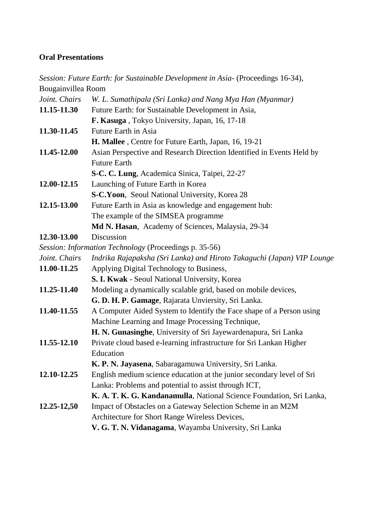## **Oral Presentations**

*Session: Future Earth: for Sustainable Development in Asia-* (Proceedings 16-34), Bougainvillea Room *Joint. Chairs W. L. Sumathipala (Sri Lanka) and Nang Mya Han (Myanmar)* **11.15-11.30** Future Earth: for Sustainable Development in Asia, **F. Kasuga** , Tokyo University, Japan, 16, 17-18 **11.30-11.45** Future Earth in Asia **H. Mallee** , Centre for Future Earth, Japan, 16, 19-21 **11.45-12.00** Asian Perspective and Research Direction Identified in Events Held by Future Earth **S-C. C. Lung**, Academica Sinica, Taipei, 22-27 **12.00-12.15** Launching of Future Earth in Korea **S-C.Yoon**, Seoul National University, Korea 28 **12.15-13.00** Future Earth in Asia as knowledge and engagement hub: The example of the SIMSEA programme **Md N. Hasan**, Academy of Sciences, Malaysia, 29-34 **12.30-13.00** Discussion *Session: Information Technology* (Proceedings p. 35-56) *Joint. Chairs Indrika Rajapaksha (Sri Lanka) and Hiroto Takaguchi (Japan) VIP Lounge* **11.00-11.25** Applying Digital Technology to Business, **S. I. Kwak** - Seoul National University, Korea **11.25-11.40** Modeling a dynamically scalable grid, based on mobile devices, **G. D. H. P. Gamage**, Rajarata Unviersity, Sri Lanka. **11.40-11.55** A Computer Aided System to Identify the Face shape of a Person using Machine Learning and Image Processing Technique, **H. N. Gunasinghe**, University of Sri Jayewardenapura, Sri Lanka **11.55-12.10** Private cloud based e-learning infrastructure for Sri Lankan Higher Education **K. P. N. Jayasena**, Sabaragamuwa University, Sri Lanka. **12.10-12.25** English medium science education at the junior secondary level of Sri Lanka: Problems and potential to assist through ICT, **K. A. T. K. G. Kandanamulla**, National Science Foundation, Sri Lanka, **12.25-12,50** Impact of Obstacles on a Gateway Selection Scheme in an M2M Architecture for Short Range Wireless Devices, **V. G. T. N. Vidanagama**, Wayamba University, Sri Lanka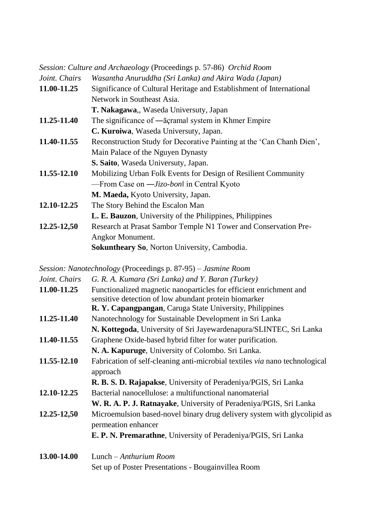|               | Session: Culture and Archaeology (Proceedings p. 57-86) Orchid Room   |  |
|---------------|-----------------------------------------------------------------------|--|
| Joint. Chairs | Wasantha Anuruddha (Sri Lanka) and Akira Wada (Japan)                 |  |
| 11.00-11.25   | Significance of Cultural Heritage and Establishment of International  |  |
|               | Network in Southeast Asia.                                            |  |
|               | T. Nakagawa,, Waseda Universuty, Japan                                |  |
| 11.25-11.40   | The significance of — acramal system in Khmer Empire                  |  |
|               | C. Kuroiwa, Waseda Universuty, Japan.                                 |  |
| 11.40-11.55   | Reconstruction Study for Decorative Painting at the 'Can Chanh Dien', |  |
|               | Main Palace of the Nguyen Dynasty                                     |  |
|               | S. Saito, Waseda Universuty, Japan.                                   |  |
| 11.55-12.10   | Mobilizing Urban Folk Events for Design of Resilient Community        |  |
|               | —From Case on $-Jizo-bon$ in Central Kyoto                            |  |
|               | M. Maeda, Kyoto University, Japan.                                    |  |
| 12.10-12.25   | The Story Behind the Escalon Man                                      |  |
|               | <b>L. E. Bauzon</b> , University of the Philippines, Philippines      |  |
| 12.25-12,50   | Research at Prasat Sambor Temple N1 Tower and Conservation Pre-       |  |
|               | Angkor Monument.                                                      |  |
|               | <b>Sokuntheary So, Norton University, Cambodia.</b>                   |  |

*Session: Nanotechnology* (Proceedings p. 87-95) – *Jasmine Room*

| Joint. Chairs | G. R. A. Kumara (Sri Lanka) and Y. Baran (Turkey)                                                                           |
|---------------|-----------------------------------------------------------------------------------------------------------------------------|
| 11.00-11.25   | Functionalized magnetic nanoparticles for efficient enrichment and<br>sensitive detection of low abundant protein biomarker |
|               | R. Y. Capangpangan, Caruga State University, Philippines                                                                    |
| 11.25-11.40   | Nanotechnology for Sustainable Development in Sri Lanka                                                                     |
|               | N. Kottegoda, University of Sri Jayewardenapura/SLINTEC, Sri Lanka                                                          |
| 11.40-11.55   | Graphene Oxide-based hybrid filter for water purification.                                                                  |
|               | N. A. Kapuruge, University of Colombo. Sri Lanka.                                                                           |
| 11.55-12.10   | Fabrication of self-cleaning anti-microbial textiles via nano technological<br>approach                                     |
|               | R. B. S. D. Rajapakse, University of Peradeniya/PGIS, Sri Lanka                                                             |
| 12.10-12.25   | Bacterial nanocellulose: a multifunctional nanomaterial                                                                     |
|               | W. R. A. P. J. Ratnayake, University of Peradeniya/PGIS, Sri Lanka                                                          |
| 12.25-12,50   | Microemulsion based-novel binary drug delivery system with glycolipid as<br>permeation enhancer                             |
|               | E. P. N. Premarathne, University of Peradeniya/PGIS, Sri Lanka                                                              |
| 13.00-14.00   | Lunch $-Anthurium Room$                                                                                                     |
|               | Set up of Poster Presentations - Bougainvillea Room                                                                         |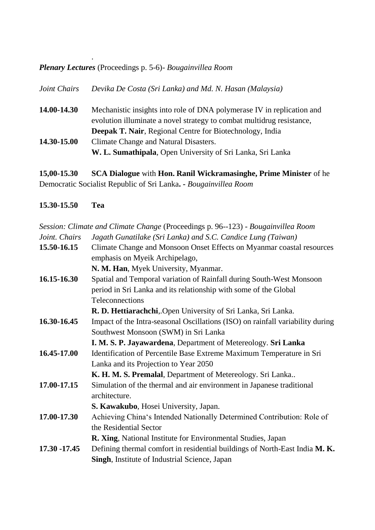*Plenary Lectures* (Proceedings p. 5-6)- *Bougainvillea Room*

.

*Joint Chairs Devika De Costa (Sri Lanka) and Md. N. Hasan (Malaysia)* **14.00-14.30** Mechanistic insights into role of DNA polymerase IV in replication and evolution illuminate a novel strategy to combat multidrug resistance, **Deepak T. Nair**, Regional Centre for Biotechnology, India **14.30-15.00** Climate Change and Natural Disasters. **W. L. Sumathipala**, Open University of Sri Lanka, Sri Lanka

**15,00-15.30 SCA Dialogue** with **Hon. Ranil Wickramasinghe, Prime Minister** of he Democratic Socialist Republic of Sri Lanka**. -** *Bougainvillea Room*

**15.30-15.50 Tea**

|                 | Session: Climate and Climate Change (Proceedings p. 96--123) - Bougainvillea Room |  |  |
|-----------------|-----------------------------------------------------------------------------------|--|--|
| Joint. Chairs   | Jagath Gunatilake (Sri Lanka) and S.C. Candice Lung (Taiwan)                      |  |  |
| 15.50-16.15     | Climate Change and Monsoon Onset Effects on Myanmar coastal resources             |  |  |
|                 | emphasis on Myeik Archipelago,                                                    |  |  |
|                 | N. M. Han, Myek University, Myanmar.                                              |  |  |
| 16.15-16.30     | Spatial and Temporal variation of Rainfall during South-West Monsoon              |  |  |
|                 | period in Sri Lanka and its relationship with some of the Global                  |  |  |
|                 | Teleconnections                                                                   |  |  |
|                 | R. D. Hettiarachchi, Open University of Sri Lanka, Sri Lanka.                     |  |  |
| 16.30-16.45     | Impact of the Intra-seasonal Oscillations (ISO) on rainfall variability during    |  |  |
|                 | Southwest Monsoon (SWM) in Sri Lanka                                              |  |  |
|                 | I. M. S. P. Jayawardena, Department of Metereology. Sri Lanka                     |  |  |
| 16.45-17.00     | Identification of Percentile Base Extreme Maximum Temperature in Sri              |  |  |
|                 | Lanka and its Projection to Year 2050                                             |  |  |
|                 | K. H. M. S. Premalal, Department of Metereology. Sri Lanka                        |  |  |
| 17.00-17.15     | Simulation of the thermal and air environment in Japanese traditional             |  |  |
|                 | architecture.                                                                     |  |  |
|                 | S. Kawakubo, Hosei University, Japan.                                             |  |  |
| 17.00-17.30     | Achieving China's Intended Nationally Determined Contribution: Role of            |  |  |
|                 | the Residential Sector                                                            |  |  |
|                 | R. Xing, National Institute for Environmental Studies, Japan                      |  |  |
| $17.30 - 17.45$ | Defining thermal comfort in residential buildings of North-East India M. K.       |  |  |
|                 | Singh, Institute of Industrial Science, Japan                                     |  |  |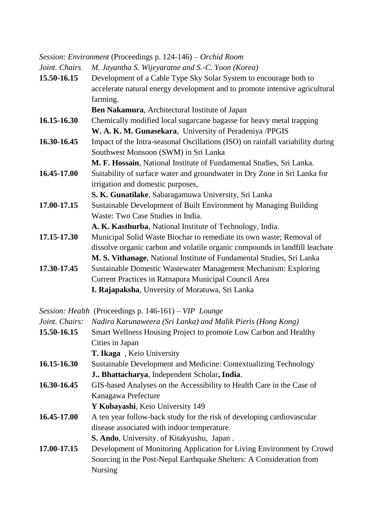*Session: Environment* (Proceedings p. 124-146) – *Orchid Room*

| Joint. Chairs | M. Jayantha S. Wijeyaratne and S.-C. Yoon (Korea)                              |
|---------------|--------------------------------------------------------------------------------|
| 15.50-16.15   | Development of a Cable Type Sky Solar System to encourage both to              |
|               | accelerate natural energy development and to promote intensive agricultural    |
|               | farming.                                                                       |
|               | Ben Nakamura, Architectural Institute of Japan                                 |
| 16.15-16.30   | Chemically modified local sugarcane bagasse for heavy metal trapping           |
|               | W. A. K. M. Gunasekara, University of Peradeniya /PPGIS                        |
| 16.30-16.45   | Impact of the Intra-seasonal Oscillations (ISO) on rainfall variability during |
|               | Southwest Monsoon (SWM) in Sri Lanka                                           |
|               | M. F. Hossain, National Institute of Fundamental Studies, Sri Lanka.           |
| 16.45-17.00   | Suitability of surface water and groundwater in Dry Zone in Sri Lanka for      |
|               | irrigation and domestic purposes,                                              |
|               | S. K. Gunatilake, Sabaragamuwa University, Sri Lanka                           |
| 17.00-17.15   | Sustainable Development of Built Environment by Managing Building              |
|               | Waste: Two Case Studies in India.                                              |
|               | A. K. Kasthurba, National Institute of Technology, India.                      |
| 17.15-17.30   | Municipal Solid Waste Biochar to remediate its own waste; Removal of           |
|               | dissolve organic carbon and volatile organic compounds in landfill leachate    |
|               | M. S. Vithanage, National Institute of Fundamental Studies, Sri Lanka          |
| 17.30-17.45   | Sustainable Domestic Wastewater Management Mechanism: Exploring                |
|               | Current Practices in Ratnapura Municipal Council Area                          |
|               | I. Rajapaksha, Unversity of Moratuwa, Sri Lanka                                |
|               |                                                                                |

*Session: Health* (Proceedings p. 146-161) – *VIP Lounge*

| Joint. Chairs: | Nadira Karunaweera (Sri Lanka) and Malik Pieris (Hong Kong)            |  |
|----------------|------------------------------------------------------------------------|--|
| 15.50-16.15    | Smart Wellness Housing Project to promote Low Carbon and Healthy       |  |
|                | Cities in Japan                                                        |  |
|                | T. Ikaga, Keio University                                              |  |
| 16.15-16.30    | Sustainable Development and Medicine: Contextualizing Technology       |  |
|                | J., Bhattacharya, Independent Scholar, India.                          |  |
| 16.30-16.45    | GIS-based Analyses on the Accessibility to Health Care in the Case of  |  |
|                | Kanagawa Prefecture                                                    |  |
|                | Y Kobayashi, Keio University 149                                       |  |
| 16.45-17.00    | A ten year follow-back study for the risk of developing cardiovascular |  |
|                | disease associated with indoor temperature.                            |  |
|                | S. Ando, University. of Kitakyushu, Japan.                             |  |
| 17.00-17.15    | Development of Monitoring Application for Living Environment by Crowd  |  |
|                | Sourcing in the Post-Nepal Earthquake Shelters: A Consideration from   |  |
|                | <b>Nursing</b>                                                         |  |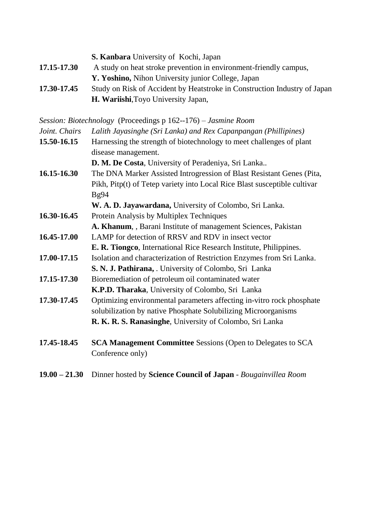|                 | S. Kanbara University of Kochi, Japan                                     |
|-----------------|---------------------------------------------------------------------------|
| 17.15-17.30     | A study on heat stroke prevention in environment-friendly campus,         |
|                 | Y. Yoshino, Nihon University junior College, Japan                        |
| 17.30-17.45     | Study on Risk of Accident by Heatstroke in Construction Industry of Japan |
|                 | H. Wariishi, Toyo University Japan,                                       |
|                 |                                                                           |
|                 | Session: Biotechnology (Proceedings p 162--176) – Jasmine Room            |
| Joint. Chairs   | Lalith Jayasinghe (Sri Lanka) and Rex Capanpangan (Phillipines)           |
| 15.50-16.15     | Harnessing the strength of biotechnology to meet challenges of plant      |
|                 | disease management.                                                       |
|                 | D. M. De Costa, University of Peradeniya, Sri Lanka                       |
| 16.15-16.30     | The DNA Marker Assisted Introgression of Blast Resistant Genes (Pita,     |
|                 | Pikh, Pitp(t) of Tetep variety into Local Rice Blast susceptible cultivar |
|                 | Bg94                                                                      |
|                 | W. A. D. Jayawardana, University of Colombo, Sri Lanka.                   |
| 16.30-16.45     | Protein Analysis by Multiplex Techniques                                  |
|                 | A. Khanum, , Barani Institute of management Sciences, Pakistan            |
| 16.45-17.00     | LAMP for detection of RRSV and RDV in insect vector                       |
|                 | E. R. Tiongco, International Rice Research Institute, Philippines.        |
| 17.00-17.15     | Isolation and characterization of Restriction Enzymes from Sri Lanka.     |
|                 | S. N. J. Pathirana, . University of Colombo, Sri Lanka                    |
| 17.15-17.30     | Bioremediation of petroleum oil contaminated water                        |
|                 | K.P.D. Tharaka, University of Colombo, Sri Lanka                          |
| 17.30-17.45     | Optimizing environmental parameters affecting in-vitro rock phosphate     |
|                 | solubilization by native Phosphate Solubilizing Microorganisms            |
|                 | R. K. R. S. Ranasinghe, University of Colombo, Sri Lanka                  |
|                 |                                                                           |
| 17.45-18.45     | SCA Management Committee Sessions (Open to Delegates to SCA               |
|                 | Conference only)                                                          |
|                 |                                                                           |
| $19.00 - 21.30$ | Dinner hosted by Science Council of Japan - Bougainvillea Room            |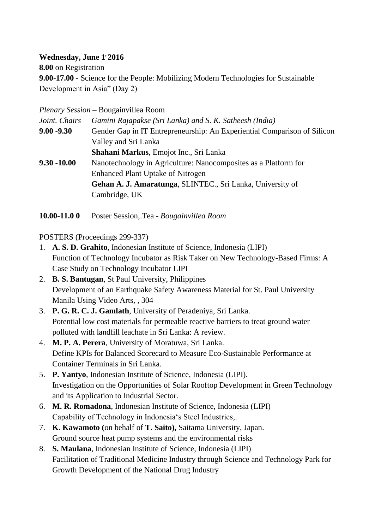## **Wednesday, June 1, 2016**

**8.00** on Registration **9.00-17.00 -** Science for the People: Mobilizing Modern Technologies for Sustainable Development in Asia" (Day 2)

*Plenary Session –* Bougainvillea Room

| Joint. Chairs  | Gamini Rajapakse (Sri Lanka) and S. K. Satheesh (India)                  |
|----------------|--------------------------------------------------------------------------|
| $9.00 - 9.30$  | Gender Gap in IT Entrepreneurship: An Experiential Comparison of Silicon |
|                | Valley and Sri Lanka                                                     |
|                | Shahani Markus, Emojot Inc., Sri Lanka                                   |
| $9.30 - 10.00$ | Nanotechnology in Agriculture: Nanocomposites as a Platform for          |
|                | <b>Enhanced Plant Uptake of Nitrogen</b>                                 |
|                | Gehan A. J. Amaratunga, SLINTEC., Sri Lanka, University of               |
|                | Cambridge, UK                                                            |
|                |                                                                          |

**10.00-11.0 0** Poster Session,.Tea - *Bougainvillea Room*

POSTERS (Proceedings 299-337)

- 1. **A. S. D. Grahito**, Indonesian Institute of Science, Indonesia (LIPI) Function of Technology Incubator as Risk Taker on New Technology-Based Firms: A Case Study on Technology Incubator LIPI
- 2. **B. S. Bantugan**, St Paul University, Philippines Development of an Earthquake Safety Awareness Material for St. Paul University Manila Using Video Arts, , 304
- 3. **P. G. R. C. J. Gamlath**, University of Peradeniya, Sri Lanka. Potential low cost materials for permeable reactive barriers to treat ground water polluted with landfill leachate in Sri Lanka: A review.
- 4. **M. P. A. Perera**, University of Moratuwa, Sri Lanka. Define KPIs for Balanced Scorecard to Measure Eco-Sustainable Performance at Container Terminals in Sri Lanka.
- 5. **P. Yantyo**, Indonesian Institute of Science, Indonesia (LIPI). Investigation on the Opportunities of Solar Rooftop Development in Green Technology and its Application to Industrial Sector.
- 6. **M. R. Romadona**, Indonesian Institute of Science, Indonesia (LIPI) Capability of Technology in Indonesia's Steel Industries,.
- 7. **K. Kawamoto (**on behalf of **T. Saito),** Saitama University, Japan. Ground source heat pump systems and the environmental risks
- 8. **S. Maulana**, Indonesian Institute of Science, Indonesia (LIPI) Facilitation of Traditional Medicine Industry through Science and Technology Park for Growth Development of the National Drug Industry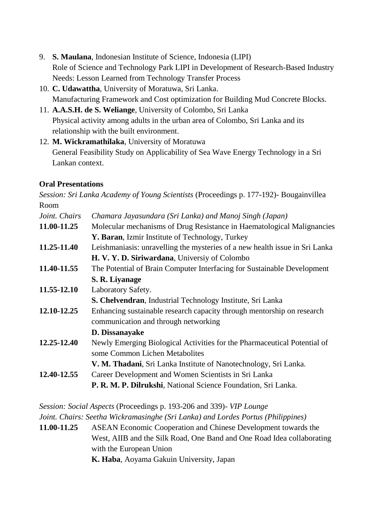- 9. **S. Maulana**, Indonesian Institute of Science, Indonesia (LIPI) Role of Science and Technology Park LIPI in Development of Research-Based Industry Needs: Lesson Learned from Technology Transfer Process
- 10. **C. Udawattha**, University of Moratuwa, Sri Lanka. Manufacturing Framework and Cost optimization for Building Mud Concrete Blocks.
- 11. **A.A.S.H. de S. Weliange**, University of Colombo, Sri Lanka Physical activity among adults in the urban area of Colombo, Sri Lanka and its relationship with the built environment.
- 12. **M. Wickramathilaka**, University of Moratuwa General Feasibility Study on Applicability of Sea Wave Energy Technology in a Sri Lankan context.

# **Oral Presentations**

*Session: Sri Lanka Academy of Young Scientists* (Proceedings p. 177-192)*-* Bougainvillea Room *Joint. Chairs Chamara Jayasundara (Sri Lanka) and Manoj Singh (Japan)* **11.00-11.25** Molecular mechanisms of Drug Resistance in Haematological Malignancies **Y. Baran**, Izmir Institute of Technology, Turkey **11.25-11.40** Leishmaniasis: unravelling the mysteries of a new health issue in Sri Lanka **H. V. Y. D. Siriwardana**, Universiy of Colombo **11.40-11.55** The Potential of Brain Computer Interfacing for Sustainable Development **S. R. Liyanage 11.55-12.10** Laboratory Safety. **S. Chelvendran**, Industrial Technology Institute, Sri Lanka **12.10-12.25** Enhancing sustainable research capacity through mentorship on research communication and through networking **D. Dissanayake 12.25-12.40** Newly Emerging Biological Activities for the Pharmaceutical Potential of some Common Lichen Metabolites **V. M. Thadani**, Sri Lanka Institute of Nanotechnology, Sri Lanka. **12.40-12.55** Career Development and Women Scientists in Sri Lanka **P. R. M. P. Dilrukshi**, National Science Foundation, Sri Lanka.

*Session: Social Aspects* (Proceedings p. 193-206 and 339)*- VIP Lounge Joint. Chairs: Seetha Wickramasinghe (Sri Lanka) and Lordes Portus (Philippines)* **11.00-11.25** ASEAN Economic Cooperation and Chinese Development towards the

West, AIIB and the Silk Road, One Band and One Road Idea collaborating with the European Union

**K. Haba**, Aoyama Gakuin University, Japan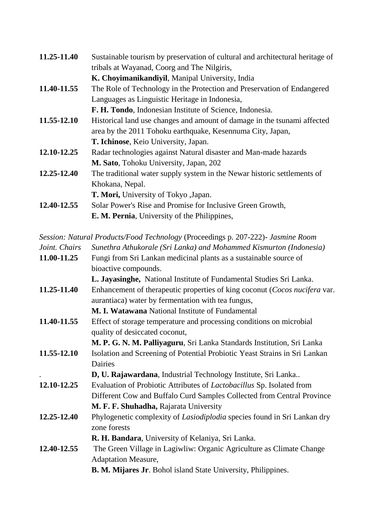| 11.25-11.40 | Sustainable tourism by preservation of cultural and architectural heritage of |
|-------------|-------------------------------------------------------------------------------|
|             | tribals at Wayanad, Coorg and The Nilgiris,                                   |
|             | K. Choyimanikandiyil, Manipal University, India                               |
| 11.40-11.55 | The Role of Technology in the Protection and Preservation of Endangered       |
|             | Languages as Linguistic Heritage in Indonesia,                                |
|             | F. H. Tondo, Indonesian Institute of Science, Indonesia.                      |
| 11.55-12.10 | Historical land use changes and amount of damage in the tsunami affected      |
|             | area by the 2011 Tohoku earthquake, Kesennuma City, Japan,                    |
|             | T. Ichinose, Keio University, Japan.                                          |
| 12.10-12.25 | Radar technologies against Natural disaster and Man-made hazards              |
|             | M. Sato, Tohoku University, Japan, 202                                        |
| 12.25-12.40 | The traditional water supply system in the Newar historic settlements of      |
|             | Khokana, Nepal.                                                               |
|             | T. Mori, University of Tokyo , Japan.                                         |
| 12.40-12.55 | Solar Power's Rise and Promise for Inclusive Green Growth,                    |
|             | <b>E. M. Pernia</b> , University of the Philippines,                          |
|             |                                                                               |

*Session: Natural Products/Food Technology* (Proceedings p. 207-222)*- Jasmine Room*

|  | Joint. Chairs Sunethra Athukorale (Sri Lanka) and Mohammed Kismurton (Indonesia) |  |  |  |  |
|--|----------------------------------------------------------------------------------|--|--|--|--|
|--|----------------------------------------------------------------------------------|--|--|--|--|

| 11.00-11.25 | Fungi from Sri Lankan medicinal plants as a sustainable source of               |
|-------------|---------------------------------------------------------------------------------|
|             | bioactive compounds.                                                            |
|             | L. Jayasinghe, National Institute of Fundamental Studies Sri Lanka.             |
| 11.25-11.40 | Enhancement of therapeutic properties of king coconut (Cocos nucifera var.      |
|             | aurantiaca) water by fermentation with tea fungus,                              |
|             | M. I. Watawana National Institute of Fundamental                                |
| 11.40-11.55 | Effect of storage temperature and processing conditions on microbial            |
|             | quality of desiccated coconut,                                                  |
|             | M. P. G. N. M. Palliyaguru, Sri Lanka Standards Institution, Sri Lanka          |
| 11.55-12.10 | Isolation and Screening of Potential Probiotic Yeast Strains in Sri Lankan      |
|             | Dairies                                                                         |
|             | D, U. Rajawardana, Industrial Technology Institute, Sri Lanka                   |
| 12.10-12.25 | Evaluation of Probiotic Attributes of Lactobacillus Sp. Isolated from           |
|             | Different Cow and Buffalo Curd Samples Collected from Central Province          |
|             | M. F. F. Shuhadha, Rajarata University                                          |
| 12.25-12.40 | Phylogenetic complexity of <i>Lasiodiplodia</i> species found in Sri Lankan dry |
|             | zone forests                                                                    |
|             | R. H. Bandara, University of Kelaniya, Sri Lanka.                               |
| 12.40-12.55 | The Green Village in Lagiwliw: Organic Agriculture as Climate Change            |
|             | <b>Adaptation Measure,</b>                                                      |
|             | <b>B. M. Mijares Jr. Bohol island State University, Philippines.</b>            |
|             |                                                                                 |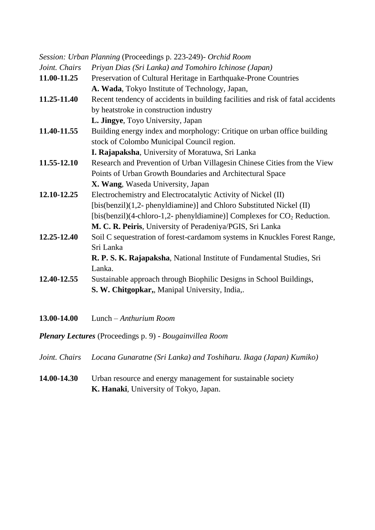|               | Session: Urban Planning (Proceedings p. 223-249)- Orchid Room                   |
|---------------|---------------------------------------------------------------------------------|
| Joint. Chairs | Priyan Dias (Sri Lanka) and Tomohiro Ichinose (Japan)                           |
| 11.00-11.25   | Preservation of Cultural Heritage in Earthquake-Prone Countries                 |
|               | A. Wada, Tokyo Institute of Technology, Japan,                                  |
| 11.25-11.40   | Recent tendency of accidents in building facilities and risk of fatal accidents |
|               | by heatstroke in construction industry                                          |
|               | L. Jingye, Toyo University, Japan                                               |
| 11.40-11.55   | Building energy index and morphology: Critique on urban office building         |
|               | stock of Colombo Municipal Council region.                                      |
|               | I. Rajapaksha, University of Moratuwa, Sri Lanka                                |
| 11.55-12.10   | Research and Prevention of Urban Villagesin Chinese Cities from the View        |
|               | Points of Urban Growth Boundaries and Architectural Space                       |
|               | X. Wang, Waseda University, Japan                                               |
| 12.10-12.25   | Electrochemistry and Electrocatalytic Activity of Nickel (II)                   |
|               | [bis(benzil)(1,2- phenyldiamine)] and Chloro Substituted Nickel (II)            |
|               | [bis(benzil)(4-chloro-1,2- phenyldiamine)] Complexes for $CO2$ Reduction.       |
|               | M. C. R. Peiris, University of Peradeniya/PGIS, Sri Lanka                       |
| 12.25-12.40   | Soil C sequestration of forest-cardamom systems in Knuckles Forest Range,       |
|               | Sri Lanka                                                                       |
|               | R. P. S. K. Rajapaksha, National Institute of Fundamental Studies, Sri          |
|               | Lanka.                                                                          |
| 12.40-12.55   | Sustainable approach through Biophilic Designs in School Buildings,             |
|               | S. W. Chitgopkar,, Manipal University, India,.                                  |
|               |                                                                                 |
| 13.00-14.00   | Lunch - Anthurium Room                                                          |

*Plenary Lectures* (Proceedings p. 9) - *Bougainvillea Room*

*Joint. Chairs Locana Gunaratne (Sri Lanka) and Toshiharu. Ikaga (Japan) Kumiko)*

# **14.00-14.30** Urban resource and energy management for sustainable society **K. Hanaki**, University of Tokyo, Japan.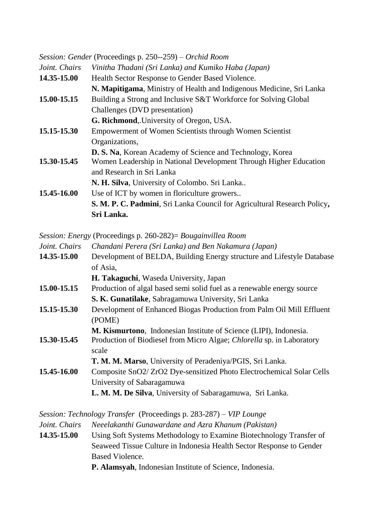|               | Session: Gender (Proceedings p. 250--259) – Orchid Room                  |
|---------------|--------------------------------------------------------------------------|
| Joint. Chairs | Vinitha Thadani (Sri Lanka) and Kumiko Haba (Japan)                      |
| 14.35-15.00   | Health Sector Response to Gender Based Violence.                         |
|               | N. Mapitigama, Ministry of Health and Indigenous Medicine, Sri Lanka     |
| 15.00-15.15   | Building a Strong and Inclusive S&T Workforce for Solving Global         |
|               | Challenges (DVD presentation)                                            |
|               | G. Richmond, University of Oregon, USA.                                  |
| 15.15-15.30   | <b>Empowerment of Women Scientists through Women Scientist</b>           |
|               | Organizations,                                                           |
|               | D. S. Na, Korean Academy of Science and Technology, Korea                |
| 15.30-15.45   | Women Leadership in National Development Through Higher Education        |
|               | and Research in Sri Lanka                                                |
|               | N. H. Silva, University of Colombo. Sri Lanka                            |
| 15.45-16.00   | Use of ICT by women in floriculture growers                              |
|               | S. M. P. C. Padmini, Sri Lanka Council for Agricultural Research Policy, |
|               | Sri Lanka.                                                               |

*Session: Energy* (Proceedings p. 260-282)= *Bougainvillea Room*

| <i>Joint. Chairs</i> | Chandani Perera (Sri Lanka) and Ben Nakamura (Japan)                   |
|----------------------|------------------------------------------------------------------------|
| 14.35-15.00          | Development of BELDA, Building Energy structure and Lifestyle Database |
|                      | of Asia.                                                               |
|                      | <b>H. Takaguchi</b> , Waseda University, Japan                         |
| 15 00 15 15          | Production of algal based semi-solid fuel as a renewable energy source |

- **15.00-15.15** Production of algal based semi solid fuel as a renewable energy source **S. K. Gunatilake**, Sabragamuwa University, Sri Lanka
- **15.15-15.30** Development of Enhanced Biogas Production from Palm Oil Mill Effluent (POME)
- **M. Kismurtono**, Indonesian Institute of Science (LIPI), Indonesia. **15.30-15.45** Production of Biodiesel from Micro Algae; *Chlorella* sp. in Laboratory scale
- **T. M. M. Marso**, University of Peradeniya/PGIS, Sri Lanka. **15.45-16.00** Composite SnO2/ ZrO2 Dye-sensitized Photo Electrochemical Solar Cells University of Sabaragamuwa **L. M. M. De Silva**, University of Sabaragamuwa, Sri Lanka.

*Session: Technology Transfer* (Proceedings p. 283-287) – *VIP Lounge*

*Joint. Chairs Neeelakanthi Gunawardane and Azra Khanum (Pakistan)*

**14.35-15.00** Using Soft Systems Methodology to Examine Biotechnology Transfer of Seaweed Tissue Culture in Indonesia Health Sector Response to Gender Based Violence.

**P. Alamsyah**, Indonesian Institute of Science, Indonesia.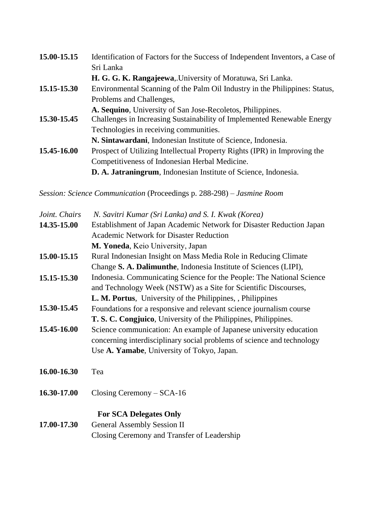| 15.00-15.15 | Identification of Factors for the Success of Independent Inventors, a Case of |
|-------------|-------------------------------------------------------------------------------|
|             | Sri Lanka                                                                     |
|             | H. G. G. K. Rangajeewa, University of Moratuwa, Sri Lanka.                    |
| 15.15-15.30 | Environmental Scanning of the Palm Oil Industry in the Philippines: Status,   |
|             | Problems and Challenges,                                                      |
|             | A. Sequino, University of San Jose-Recoletos, Philippines.                    |
| 15.30-15.45 | Challenges in Increasing Sustainability of Implemented Renewable Energy       |
|             | Technologies in receiving communities.                                        |
|             | N. Sintawardani, Indonesian Institute of Science, Indonesia.                  |
| 15.45-16.00 | Prospect of Utilizing Intellectual Property Rights (IPR) in Improving the     |
|             | Competitiveness of Indonesian Herbal Medicine.                                |
|             | D. A. Jatraningrum, Indonesian Institute of Science, Indonesia.               |

*Session: Science Communication* (Proceedings p. 288-298) – *Jasmine Room*

| Joint. Chairs | N. Savitri Kumar (Sri Lanka) and S. I. Kwak (Korea)                    |
|---------------|------------------------------------------------------------------------|
| 14.35-15.00   | Establishment of Japan Academic Network for Disaster Reduction Japan   |
|               | <b>Academic Network for Disaster Reduction</b>                         |
|               | M. Yoneda, Keio University, Japan                                      |
| 15.00-15.15   | Rural Indonesian Insight on Mass Media Role in Reducing Climate        |
|               | Change S. A. Dalimunthe, Indonesia Institute of Sciences (LIPI),       |
| 15.15-15.30   | Indonesia. Communicating Science for the People: The National Science  |
|               | and Technology Week (NSTW) as a Site for Scientific Discourses,        |
|               | L. M. Portus, University of the Philippines, Philippines               |
| 15.30-15.45   | Foundations for a responsive and relevant science journalism course    |
|               | T. S. C. Congjuico, University of the Philippines, Philippines.        |
| 15.45-16.00   | Science communication: An example of Japanese university education     |
|               | concerning interdisciplinary social problems of science and technology |
|               | Use A. Yamabe, University of Tokyo, Japan.                             |
| 16.00-16.30   | Tea                                                                    |
| 16.30-17.00   | Closing Ceremony $-$ SCA-16                                            |
|               | <b>For SCA Delegates Only</b>                                          |
| 17.00-17.30   | <b>General Assembly Session II</b>                                     |
|               | Closing Ceremony and Transfer of Leadership                            |